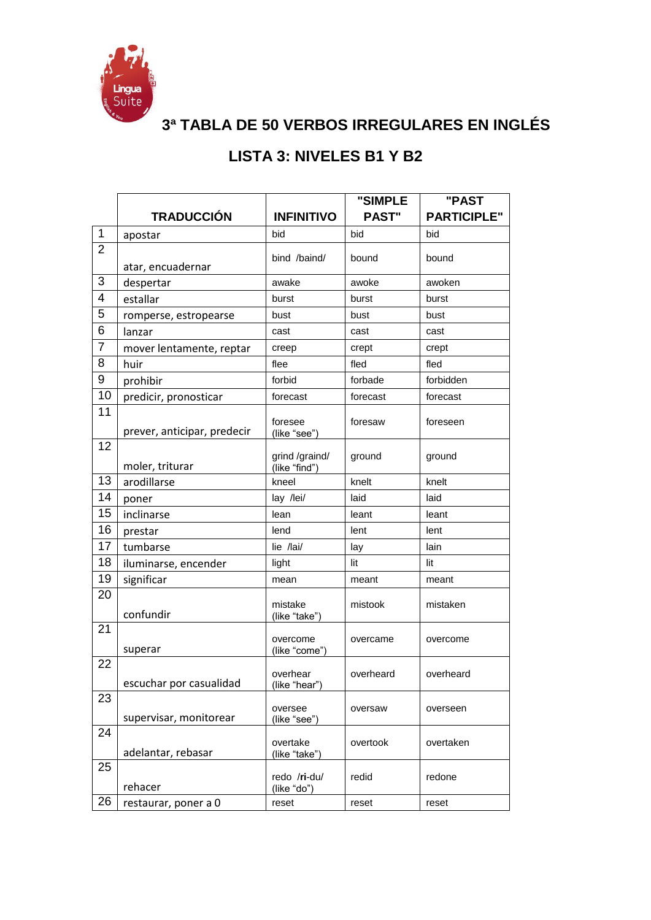

**3ª TABLA DE 50 VERBOS IRREGULARES EN INGLÉS**

## **LISTA 3: NIVELES B1 Y B2**

|                |                             |                                 | "SIMPLE      | "PAST              |
|----------------|-----------------------------|---------------------------------|--------------|--------------------|
|                | <b>TRADUCCIÓN</b>           | <b>INFINITIVO</b>               | <b>PAST"</b> | <b>PARTICIPLE"</b> |
| $\mathbf 1$    | apostar                     | bid                             | bid          | bid                |
| $\overline{2}$ |                             | bind /baind/                    | bound        | bound              |
| 3              | atar, encuadernar           |                                 |              |                    |
| 4              | despertar                   | awake                           | awoke        | awoken             |
|                | estallar                    | burst                           | burst        | burst              |
| 5              | romperse, estropearse       | bust                            | bust         | bust               |
| 6              | lanzar                      | cast                            | cast         | cast               |
| 7              | mover lentamente, reptar    | creep                           | crept        | crept              |
| 8              | huir                        | flee                            | fled         | fled               |
| 9              | prohibir                    | forbid                          | forbade      | forbidden          |
| 10             | predicir, pronosticar       | forecast                        | forecast     | forecast           |
| 11             | prever, anticipar, predecir | foresee<br>(like "see")         | foresaw      | foreseen           |
| 12             | moler, triturar             | grind /graind/<br>(like "find") | ground       | ground             |
| 13             | arodillarse                 | kneel                           | knelt        | knelt              |
| 14             | poner                       | lay /lei/                       | laid         | laid               |
| 15             | inclinarse                  | lean                            | leant        | leant              |
| 16             | prestar                     | lend                            | lent         | lent               |
| 17             | tumbarse                    | lie /lai/                       | lay          | lain               |
| 18             | iluminarse, encender        | light                           | lit          | lit                |
| 19             | significar                  | mean                            | meant        | meant              |
| 20             | confundir                   | mistake<br>(like "take")        | mistook      | mistaken           |
| 21             | superar                     | overcome<br>(like "come")       | overcame     | overcome           |
| 22             | escuchar por casualidad     | overhear<br>(like "hear")       | overheard    | overheard          |
| 23             | supervisar, monitorear      | oversee<br>(like "see")         | oversaw      | overseen           |
| 24             | adelantar, rebasar          | overtake<br>(like "take")       | overtook     | overtaken          |
| 25             | rehacer                     | redo /ri-du/<br>(like "do")     | redid        | redone             |
| 26             | restaurar, poner a 0        | reset                           | reset        | reset              |